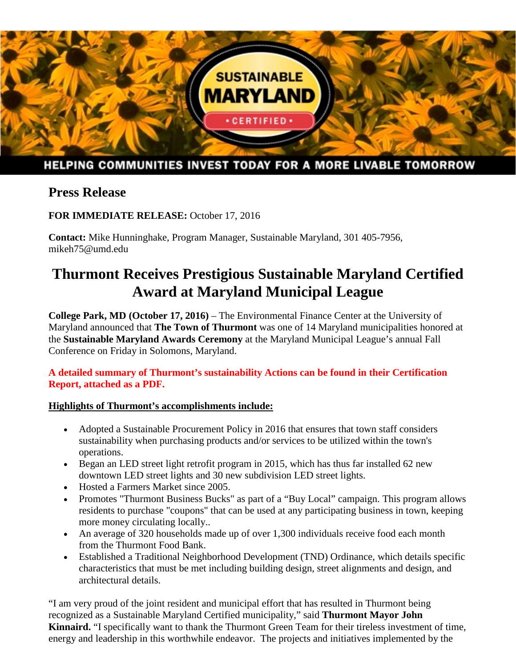

# HELPING COMMUNITIES INVEST TODAY FOR A MORE LIVABLE TOMORROW

## **Press Release**

**FOR IMMEDIATE RELEASE:** October 17, 2016

**Contact:** Mike Hunninghake, Program Manager, Sustainable Maryland, 301 405-7956, mikeh75@umd.edu

# **Thurmont Receives Prestigious Sustainable Maryland Certified Award at Maryland Municipal League**

**College Park, MD (October 17, 2016)** – The Environmental Finance Center at the University of Maryland announced that **The Town of Thurmont** was one of 14 Maryland municipalities honored at the **Sustainable Maryland Awards Ceremony** at the Maryland Municipal League's annual Fall Conference on Friday in Solomons, Maryland.

### **A detailed summary of Thurmont's sustainability Actions can be found in their Certification Report, attached as a PDF.**

## **Highlights of Thurmont's accomplishments include:**

- Adopted a Sustainable Procurement Policy in 2016 that ensures that town staff considers sustainability when purchasing products and/or services to be utilized within the town's operations.
- Began an LED street light retrofit program in 2015, which has thus far installed 62 new downtown LED street lights and 30 new subdivision LED street lights.
- Hosted a Farmers Market since 2005.
- Promotes "Thurmont Business Bucks" as part of a "Buy Local" campaign. This program allows residents to purchase "coupons" that can be used at any participating business in town, keeping more money circulating locally..
- An average of 320 households made up of over 1,300 individuals receive food each month from the Thurmont Food Bank.
- Established a Traditional Neighborhood Development (TND) Ordinance, which details specific characteristics that must be met including building design, street alignments and design, and architectural details.

"I am very proud of the joint resident and municipal effort that has resulted in Thurmont being recognized as a Sustainable Maryland Certified municipality," said **Thurmont Mayor John Kinnaird.** "I specifically want to thank the Thurmont Green Team for their tireless investment of time, energy and leadership in this worthwhile endeavor. The projects and initiatives implemented by the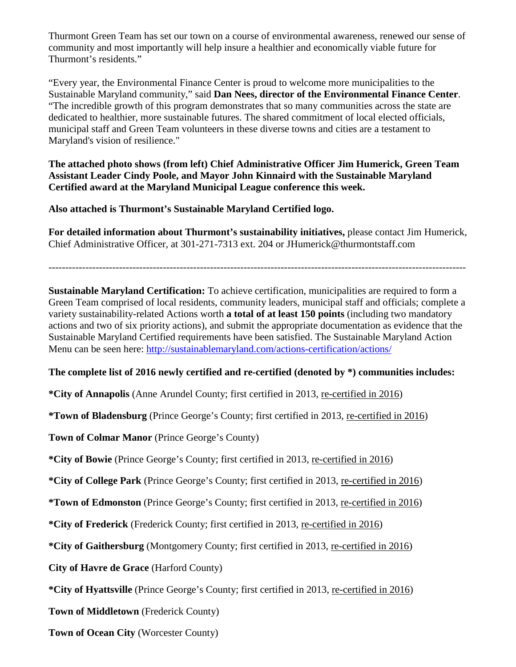Thurmont Green Team has set our town on a course of environmental awareness, renewed our sense of community and most importantly will help insure a healthier and economically viable future for Thurmont's residents."

"Every year, the Environmental Finance Center is proud to welcome more municipalities to the Sustainable Maryland community," said **Dan Nees, director of the Environmental Finance Center**. "The incredible growth of this program demonstrates that so many communities across the state are dedicated to healthier, more sustainable futures. The shared commitment of local elected officials, municipal staff and Green Team volunteers in these diverse towns and cities are a testament to Maryland's vision of resilience."

**The attached photo shows (from left) Chief Administrative Officer Jim Humerick, Green Team Assistant Leader Cindy Poole, and Mayor John Kinnaird with the Sustainable Maryland Certified award at the Maryland Municipal League conference this week.** 

**Also attached is Thurmont's Sustainable Maryland Certified logo.**

**For detailed information about Thurmont's sustainability initiatives,** please contact Jim Humerick, Chief Administrative Officer, at 301-271-7313 ext. 204 or JHumerick@thurmontstaff.com

----------------------------------------------------------------------------------------------------------------------------

**Sustainable Maryland Certification:** To achieve certification, municipalities are required to form a Green Team comprised of local residents, community leaders, municipal staff and officials; complete a variety sustainability-related Actions worth **a total of at least 150 points** (including two mandatory actions and two of six priority actions), and submit the appropriate documentation as evidence that the Sustainable Maryland Certified requirements have been satisfied. The Sustainable Maryland Action Menu can be seen here:<http://sustainablemaryland.com/actions-certification/actions/>

#### **The complete list of 2016 newly certified and re-certified (denoted by \*) communities includes:**

**\*City of Annapolis** (Anne Arundel County; first certified in 2013, re-certified in 2016)

**\*Town of Bladensburg** (Prince George's County; first certified in 2013, re-certified in 2016)

**Town of Colmar Manor** (Prince George's County)

**\*City of Bowie** (Prince George's County; first certified in 2013, re-certified in 2016)

**\*City of College Park** (Prince George's County; first certified in 2013, re-certified in 2016)

**\*Town of Edmonston** (Prince George's County; first certified in 2013, re-certified in 2016)

**\*City of Frederick** (Frederick County; first certified in 2013, re-certified in 2016)

**\*City of Gaithersburg** (Montgomery County; first certified in 2013, re-certified in 2016)

**City of Havre de Grace** (Harford County)

**\*City of Hyattsville** (Prince George's County; first certified in 2013, re-certified in 2016)

**Town of Middletown** (Frederick County)

**Town of Ocean City** (Worcester County)